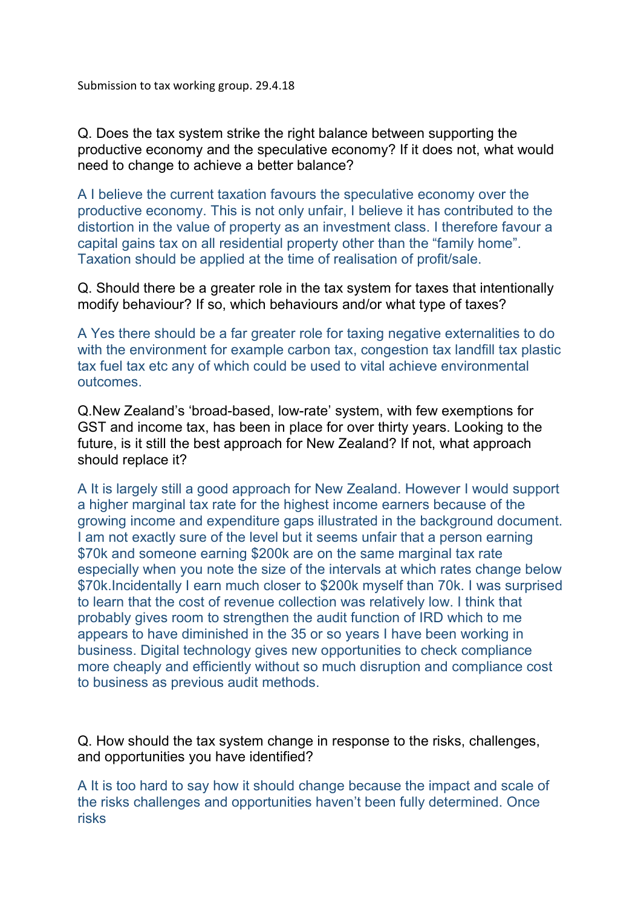Q. Does the tax system strike the right balance between supporting the productive economy and the speculative economy? If it does not, what would need to change to achieve a better balance?

A I believe the current taxation favours the speculative economy over the productive economy. This is not only unfair, I believe it has contributed to the distortion in the value of property as an investment class. I therefore favour a capital gains tax on all residential property other than the "family home". Taxation should be applied at the time of realisation of profit/sale.

Q. Should there be a greater role in the tax system for taxes that intentionally modify behaviour? If so, which behaviours and/or what type of taxes?

A Yes there should be a far greater role for taxing negative externalities to do with the environment for example carbon tax, congestion tax landfill tax plastic tax fuel tax etc any of which could be used to vital achieve environmental outcomes.

Q.New Zealand's 'broad-based, low-rate' system, with few exemptions for GST and income tax, has been in place for over thirty years. Looking to the future, is it still the best approach for New Zealand? If not, what approach should replace it?

A It is largely still a good approach for New Zealand. However I would support a higher marginal tax rate for the highest income earners because of the growing income and expenditure gaps illustrated in the background document. I am not exactly sure of the level but it seems unfair that a person earning \$70k and someone earning \$200k are on the same marginal tax rate especially when you note the size of the intervals at which rates change below \$70k.Incidentally I earn much closer to \$200k myself than 70k. I was surprised to learn that the cost of revenue collection was relatively low. I think that probably gives room to strengthen the audit function of IRD which to me appears to have diminished in the 35 or so years I have been working in business. Digital technology gives new opportunities to check compliance more cheaply and efficiently without so much disruption and compliance cost to business as previous audit methods.

Q. How should the tax system change in response to the risks, challenges, and opportunities you have identified?

A It is too hard to say how it should change because the impact and scale of the risks challenges and opportunities haven't been fully determined. Once risks